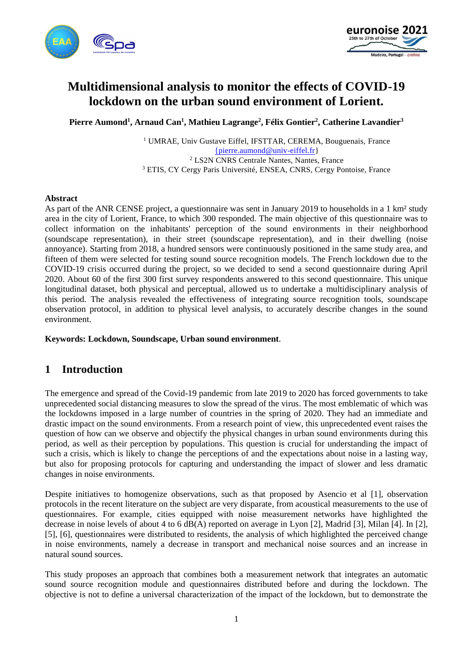



# **Multidimensional analysis to monitor the effects of COVID-19 lockdown on the urban sound environment of Lorient.**

**Pierre Aumond<sup>1</sup> , Arnaud Can<sup>1</sup> , Mathieu Lagrange<sup>2</sup> , Félix Gontier<sup>2</sup> , Catherine Lavandier<sup>3</sup>**

<sup>1</sup> UMRAE, Univ Gustave Eiffel, IFSTTAR, CEREMA, Bouguenais, France [{pierre.aumond@univ-eiffel.fr}](mailto:%7Bpierre.aumond@univ-eiffel.fr) <sup>2</sup> LS2N CNRS Centrale Nantes, Nantes, France <sup>3</sup> ETIS, CY Cergy Paris Université, ENSEA, CNRS, Cergy Pontoise, France

#### **Abstract**

As part of the ANR CENSE project, a questionnaire was sent in January 2019 to households in a 1 km<sup>2</sup> study area in the city of Lorient, France, to which 300 responded. The main objective of this questionnaire was to collect information on the inhabitants' perception of the sound environments in their neighborhood (soundscape representation), in their street (soundscape representation), and in their dwelling (noise annoyance). Starting from 2018, a hundred sensors were continuously positioned in the same study area, and fifteen of them were selected for testing sound source recognition models. The French lockdown due to the COVID-19 crisis occurred during the project, so we decided to send a second questionnaire during April 2020. About 60 of the first 300 first survey respondents answered to this second questionnaire. This unique longitudinal dataset, both physical and perceptual, allowed us to undertake a multidisciplinary analysis of this period. The analysis revealed the effectiveness of integrating source recognition tools, soundscape observation protocol, in addition to physical level analysis, to accurately describe changes in the sound environment.

**Keywords: Lockdown, Soundscape, Urban sound environment**.

# **1 Introduction**

The emergence and spread of the Covid-19 pandemic from late 2019 to 2020 has forced governments to take unprecedented social distancing measures to slow the spread of the virus. The most emblematic of which was the lockdowns imposed in a large number of countries in the spring of 2020. They had an immediate and drastic impact on the sound environments. From a research point of view, this unprecedented event raises the question of how can we observe and objectify the physical changes in urban sound environments during this period, as well as their perception by populations. This question is crucial for understanding the impact of such a crisis, which is likely to change the perceptions of and the expectations about noise in a lasting way, but also for proposing protocols for capturing and understanding the impact of slower and less dramatic changes in noise environments.

Despite initiatives to homogenize observations, such as that proposed by Asencio et al [1], observation protocols in the recent literature on the subject are very disparate, from acoustical measurements to the use of questionnaires. For example, cities equipped with noise measurement networks have highlighted the decrease in noise levels of about 4 to 6 dB(A) reported on average in Lyon [2], Madrid [3], Milan [4]. In [2], [5], [6], questionnaires were distributed to residents, the analysis of which highlighted the perceived change in noise environments, namely a decrease in transport and mechanical noise sources and an increase in natural sound sources.

This study proposes an approach that combines both a measurement network that integrates an automatic sound source recognition module and questionnaires distributed before and during the lockdown. The objective is not to define a universal characterization of the impact of the lockdown, but to demonstrate the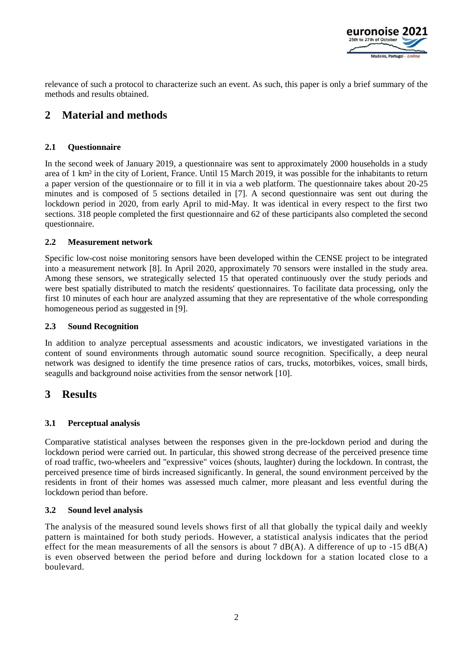

relevance of such a protocol to characterize such an event. As such, this paper is only a brief summary of the methods and results obtained.

# **2 Material and methods**

## **2.1 Questionnaire**

In the second week of January 2019, a questionnaire was sent to approximately 2000 households in a study area of 1 km² in the city of Lorient, France. Until 15 March 2019, it was possible for the inhabitants to return a paper version of the questionnaire or to fill it in via a web platform. The questionnaire takes about 20-25 minutes and is composed of 5 sections detailed in [7]. A second questionnaire was sent out during the lockdown period in 2020, from early April to mid-May. It was identical in every respect to the first two sections. 318 people completed the first questionnaire and 62 of these participants also completed the second questionnaire.

### **2.2 Measurement network**

Specific low-cost noise monitoring sensors have been developed within the CENSE project to be integrated into a measurement network [8]. In April 2020, approximately 70 sensors were installed in the study area. Among these sensors, we strategically selected 15 that operated continuously over the study periods and were best spatially distributed to match the residents' questionnaires. To facilitate data processing, only the first 10 minutes of each hour are analyzed assuming that they are representative of the whole corresponding homogeneous period as suggested in [9].

#### **2.3 Sound Recognition**

In addition to analyze perceptual assessments and acoustic indicators, we investigated variations in the content of sound environments through automatic sound source recognition. Specifically, a deep neural network was designed to identify the time presence ratios of cars, trucks, motorbikes, voices, small birds, seagulls and background noise activities from the sensor network [10].

# **3 Results**

### **3.1 Perceptual analysis**

Comparative statistical analyses between the responses given in the pre-lockdown period and during the lockdown period were carried out. In particular, this showed strong decrease of the perceived presence time of road traffic, two-wheelers and "expressive" voices (shouts, laughter) during the lockdown. In contrast, the perceived presence time of birds increased significantly. In general, the sound environment perceived by the residents in front of their homes was assessed much calmer, more pleasant and less eventful during the lockdown period than before.

### **3.2 Sound level analysis**

The analysis of the measured sound levels shows first of all that globally the typical daily and weekly pattern is maintained for both study periods. However, a statistical analysis indicates that the period effect for the mean measurements of all the sensors is about 7  $dB(A)$ . A difference of up to -15  $dB(A)$ is even observed between the period before and during lockdown for a station located close to a boulevard.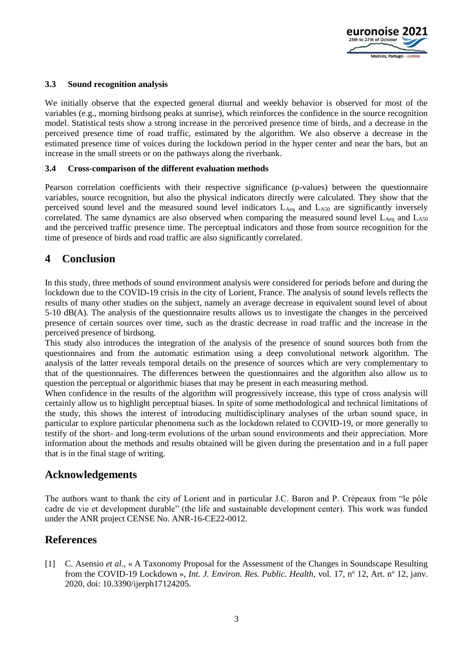

#### **3.3 Sound recognition analysis**

We initially observe that the expected general diurnal and weekly behavior is observed for most of the variables (e.g., morning birdsong peaks at sunrise), which reinforces the confidence in the source recognition model. Statistical tests show a strong increase in the perceived presence time of birds, and a decrease in the perceived presence time of road traffic, estimated by the algorithm. We also observe a decrease in the estimated presence time of voices during the lockdown period in the hyper center and near the bars, but an increase in the small streets or on the pathways along the riverbank.

#### **3.4 Cross-comparison of the different evaluation methods**

Pearson correlation coefficients with their respective significance (p-values) between the questionnaire variables, source recognition, but also the physical indicators directly were calculated. They show that the perceived sound level and the measured sound level indicators  $L_{A_{eq}}$  and  $L_{A_{50}}$  are significantly inversely correlated. The same dynamics are also observed when comparing the measured sound level  $L_{\text{Aeg}}$  and  $L_{\text{A50}}$ and the perceived traffic presence time. The perceptual indicators and those from source recognition for the time of presence of birds and road traffic are also significantly correlated.

# **4 Conclusion**

In this study, three methods of sound environment analysis were considered for periods before and during the lockdown due to the COVID-19 crisis in the city of Lorient, France. The analysis of sound levels reflects the results of many other studies on the subject, namely an average decrease in equivalent sound level of about 5-10 dB(A). The analysis of the questionnaire results allows us to investigate the changes in the perceived presence of certain sources over time, such as the drastic decrease in road traffic and the increase in the perceived presence of birdsong.

This study also introduces the integration of the analysis of the presence of sound sources both from the questionnaires and from the automatic estimation using a deep convolutional network algorithm. The analysis of the latter reveals temporal details on the presence of sources which are very complementary to that of the questionnaires. The differences between the questionnaires and the algorithm also allow us to question the perceptual or algorithmic biases that may be present in each measuring method.

When confidence in the results of the algorithm will progressively increase, this type of cross analysis will certainly allow us to highlight perceptual biases. In spite of some methodological and technical limitations of the study, this shows the interest of introducing multidisciplinary analyses of the urban sound space, in particular to explore particular phenomena such as the lockdown related to COVID-19, or more generally to testify of the short- and long-term evolutions of the urban sound environments and their appreciation. More information about the methods and results obtained will be given during the presentation and in a full paper that is in the final stage of writing.

# **Acknowledgements**

The authors want to thank the city of Lorient and in particular J.C. Baron and P. Crépeaux from "le pôle cadre de vie et development durable" (the life and sustainable development center). This work was funded under the ANR project CENSE No. ANR-16-CE22-0012.

# **References**

[1] C. Asensio *et al.*, « A Taxonomy Proposal for the Assessment of the Changes in Soundscape Resulting from the COVID-19 Lockdown », *Int. J. Environ. Res. Public. Health*, vol. 17, n<sup>o</sup> 12, Art. n<sup>o</sup> 12, janv. 2020, doi: 10.3390/ijerph17124205.